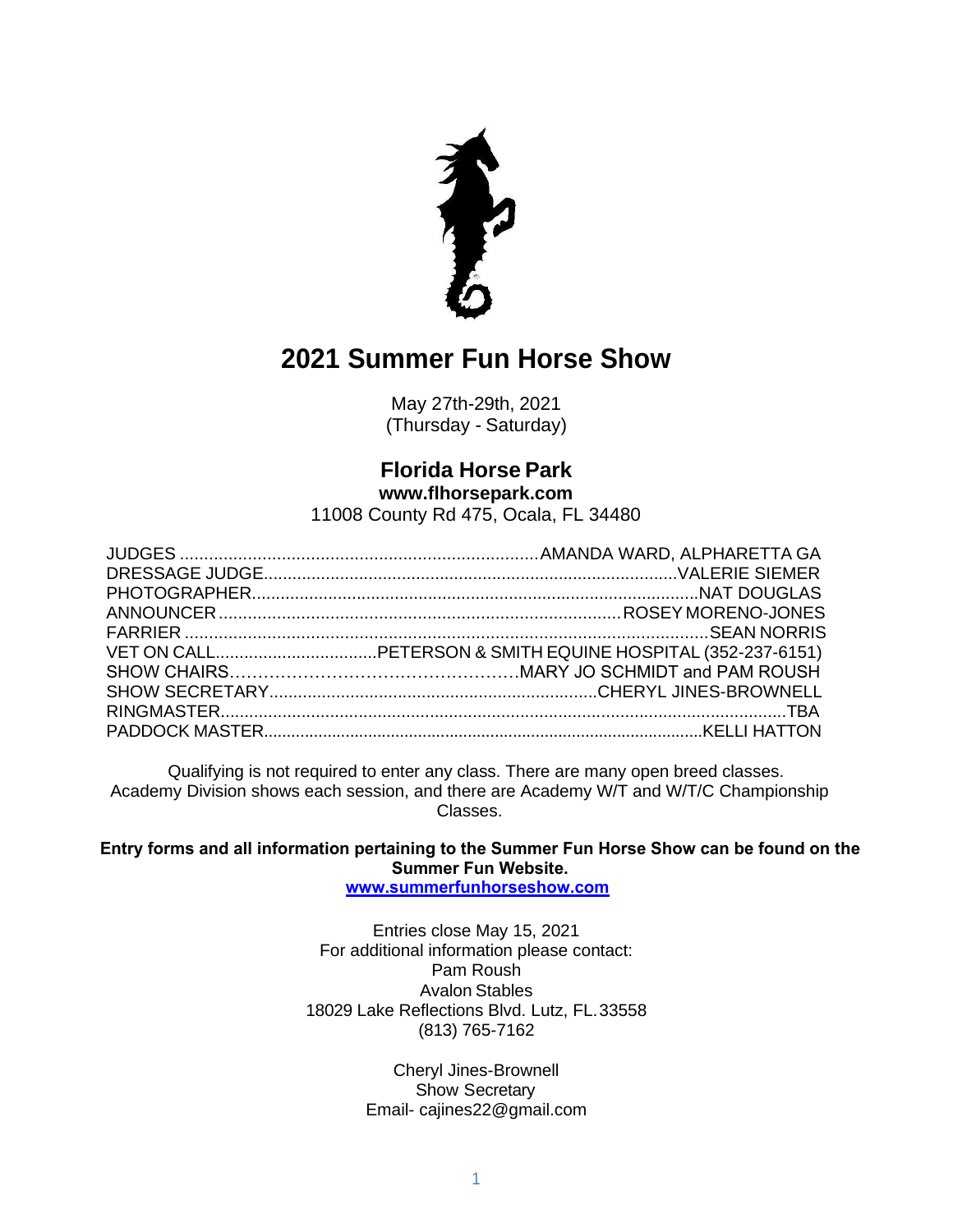

May 27th-29th, 2021 (Thursday - Saturday)

# **Florida Horse Park**

**[www.flhorsepark.com](http://www.flhorsepark.com/)** 11008 County Rd 475, Ocala, FL 34480

Qualifying is not required to enter any class. There are many open breed classes. Academy Division shows each session, and there are Academy W/T and W/T/C Championship Classes.

**Entry forms and all information pertaining to the Summer Fun Horse Show can be found on the Summer Fun Website. [www.summerfunhorseshow.com](http://www.summerfunhorseshow.com/)**

Entries close May 15, 2021 For additional information please contact: Pam Roush Avalon Stables 18029 Lake Reflections Blvd. Lutz, FL.33558 (813) 765-7162

> Cheryl Jines-Brownell Show Secretary Email- cajines22@gmail.com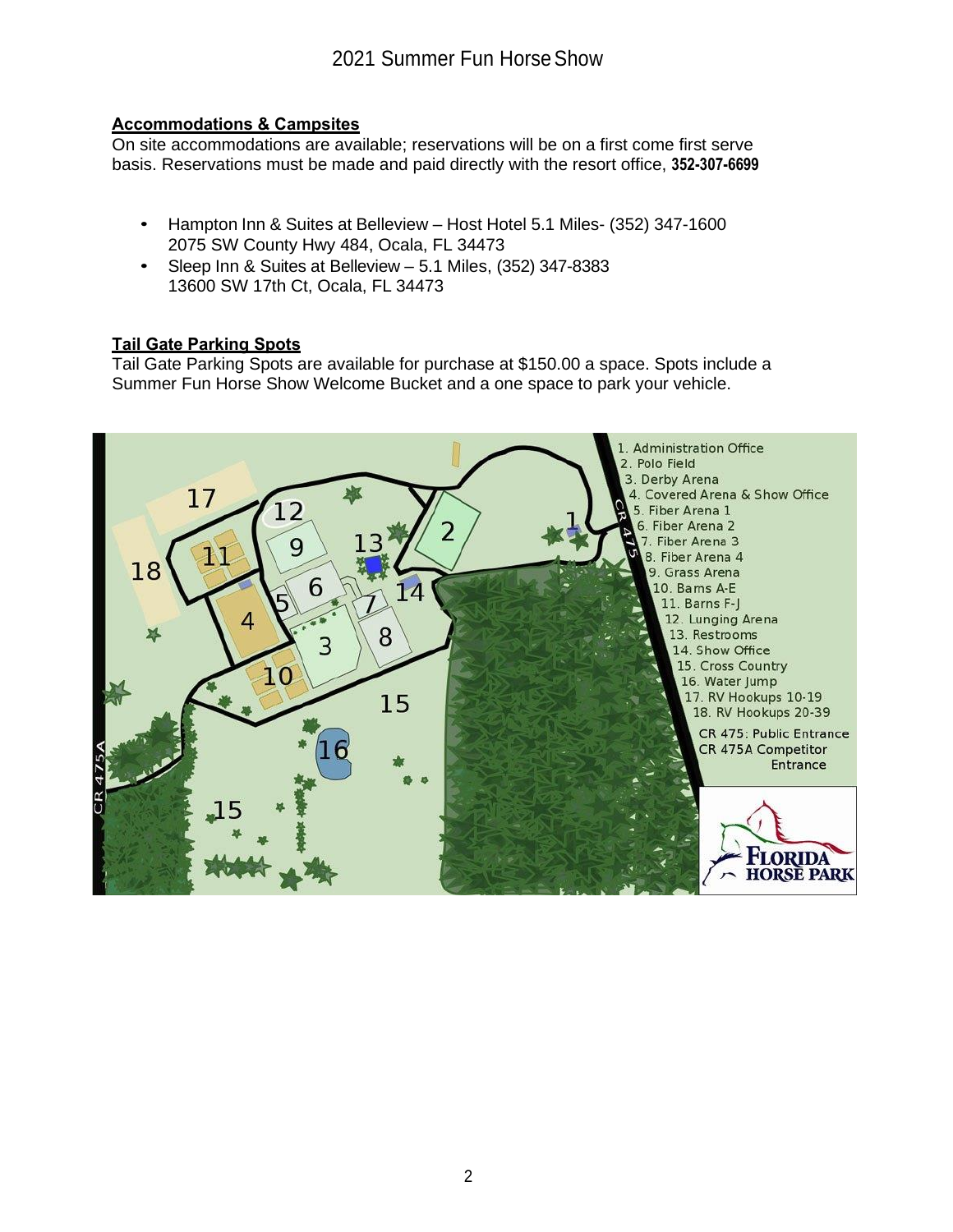#### **Accommodations & Campsites**

On site accommodations are available; reservations will be on a first come first serve basis. Reservations must be made and paid directly with the resort office, **352-307-6699**

- Hampton Inn & Suites at Belleview Host Hotel 5.1 Miles- (352) 347-1600 2075 SW County Hwy 484, Ocala, FL 34473
- Sleep Inn & Suites at Belleview 5.1 Miles, (352) 347-8383 13600 SW 17th Ct, Ocala, FL 34473

#### **Tail Gate Parking Spots**

Tail Gate Parking Spots are available for purchase at \$150.00 a space. Spots include a Summer Fun Horse Show Welcome Bucket and a one space to park your vehicle.

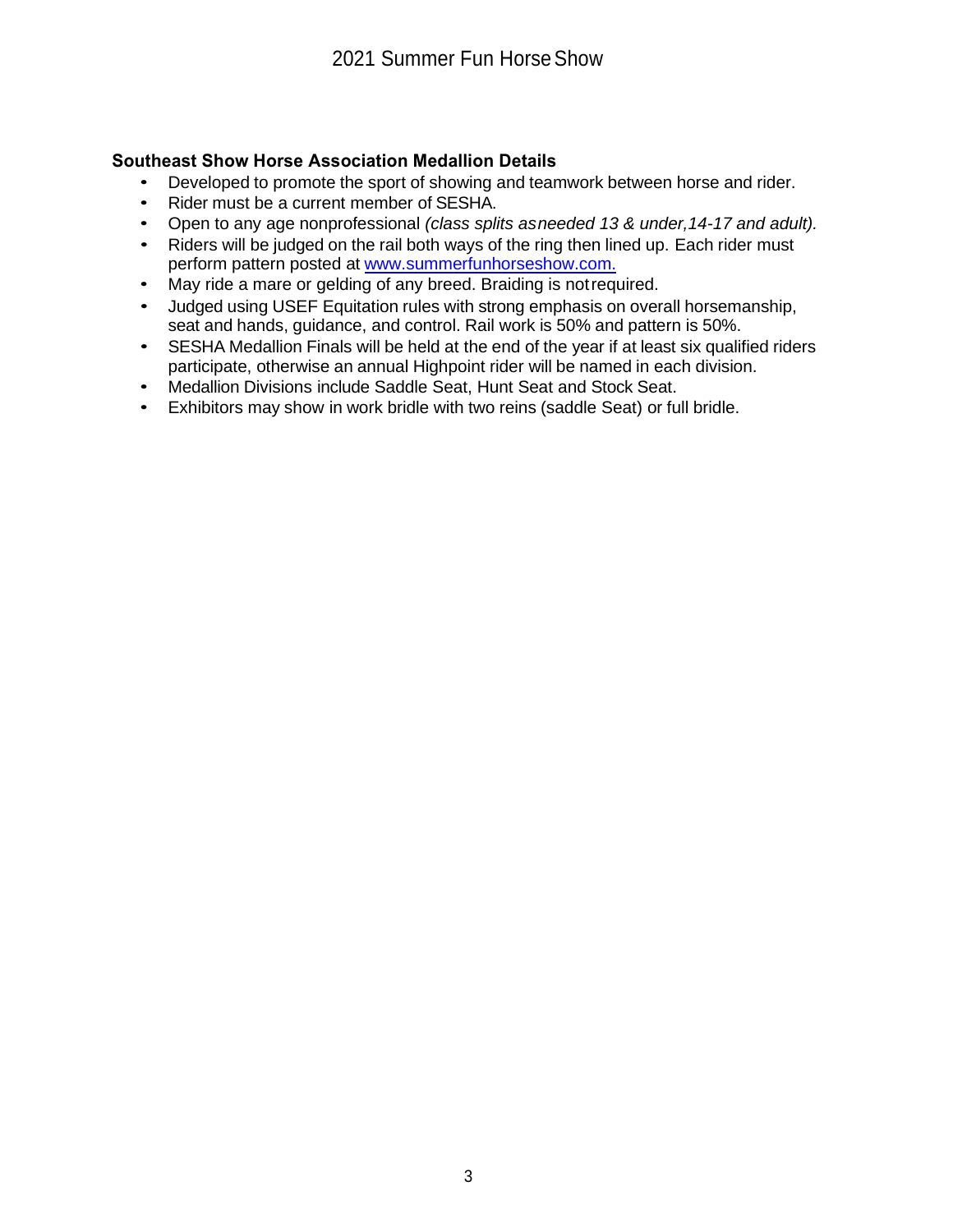#### **Southeast Show Horse Association Medallion Details**

- Developed to promote the sport of showing and teamwork between horse and rider.
- Rider must be a current member of SESHA.
- Open to any age nonprofessional *(class splits asneeded 13 & under,14-17 and adult).*
- Riders will be judged on the rail both ways of the ring then lined up. Each rider must perform pattern posted at [www.summerfunhorseshow.com.](http://www.summerfunhorseshow.com./)
- May ride a mare or gelding of any breed. Braiding is notrequired.
- Judged using USEF Equitation rules with strong emphasis on overall horsemanship, seat and hands, guidance, and control. Rail work is 50% and pattern is 50%.
- SESHA Medallion Finals will be held at the end of the year if at least six qualified riders participate, otherwise an annual Highpoint rider will be named in each division.
- Medallion Divisions include Saddle Seat, Hunt Seat and Stock Seat.
- Exhibitors may show in work bridle with two reins (saddle Seat) or full bridle.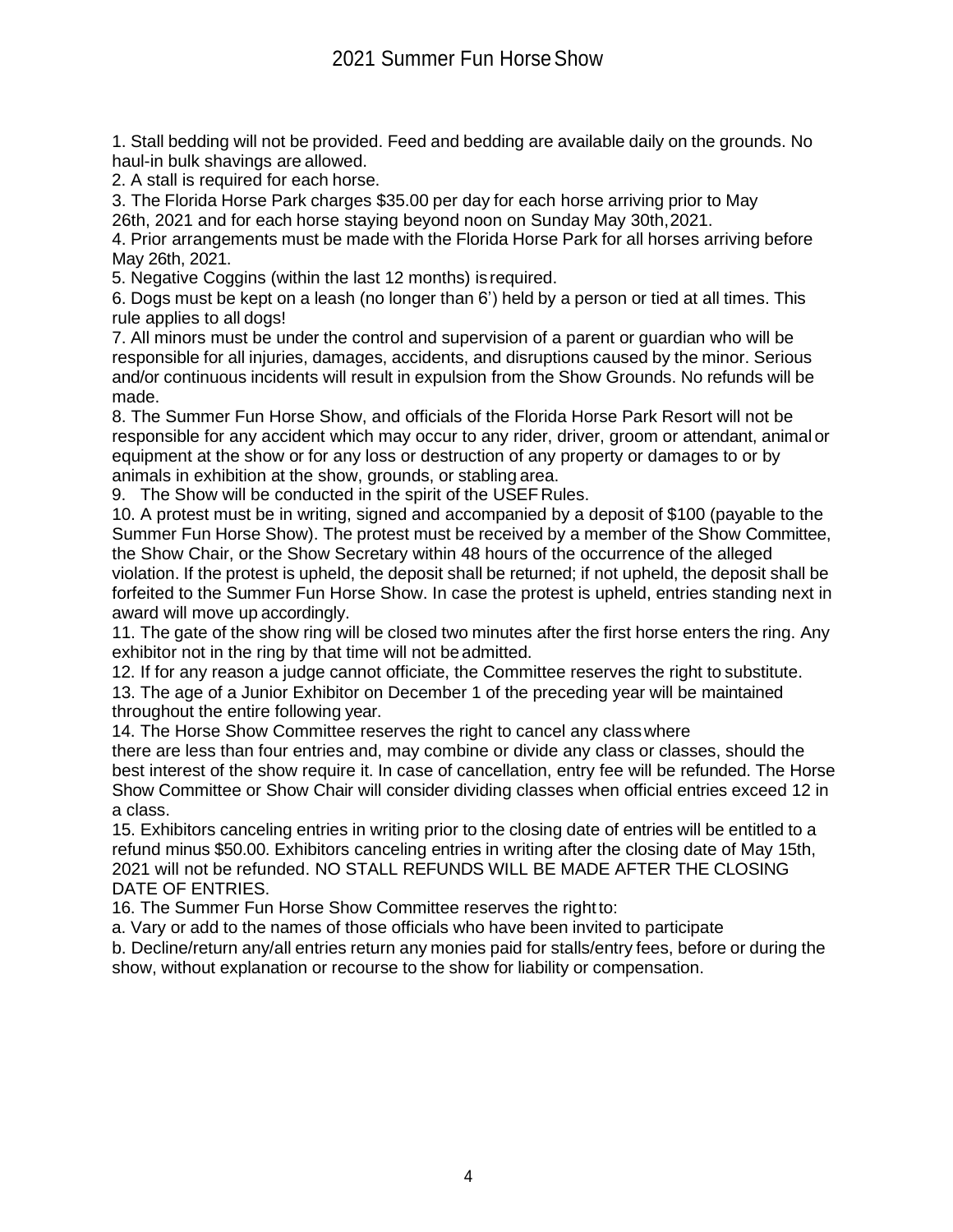1. Stall bedding will not be provided. Feed and bedding are available daily on the grounds. No haul-in bulk shavings are allowed.

2. A stall is required for each horse.

3. The Florida Horse Park charges \$35.00 per day for each horse arriving prior to May 26th, 2021 and for each horse staying beyond noon on Sunday May 30th,2021.

4. Prior arrangements must be made with the Florida Horse Park for all horses arriving before May 26th, 2021.

5. Negative Coggins (within the last 12 months) is required.

6. Dogs must be kept on a leash (no longer than 6') held by a person or tied at all times. This rule applies to all dogs!

7. All minors must be under the control and supervision of a parent or guardian who will be responsible for all injuries, damages, accidents, and disruptions caused by the minor. Serious and/or continuous incidents will result in expulsion from the Show Grounds. No refunds will be made.

8. The Summer Fun Horse Show, and officials of the Florida Horse Park Resort will not be responsible for any accident which may occur to any rider, driver, groom or attendant, animal or equipment at the show or for any loss or destruction of any property or damages to or by animals in exhibition at the show, grounds, or stabling area.

9. The Show will be conducted in the spirit of the USEFRules.

10. A protest must be in writing, signed and accompanied by a deposit of \$100 (payable to the Summer Fun Horse Show). The protest must be received by a member of the Show Committee, the Show Chair, or the Show Secretary within 48 hours of the occurrence of the alleged violation. If the protest is upheld, the deposit shall be returned; if not upheld, the deposit shall be forfeited to the Summer Fun Horse Show. In case the protest is upheld, entries standing next in award will move up accordingly.

11. The gate of the show ring will be closed two minutes after the first horse enters the ring. Any exhibitor not in the ring by that time will not be admitted.

12. If for any reason a judge cannot officiate, the Committee reserves the right to substitute. 13. The age of a Junior Exhibitor on December 1 of the preceding year will be maintained throughout the entire following year.

14. The Horse Show Committee reserves the right to cancel any classwhere

there are less than four entries and, may combine or divide any class or classes, should the best interest of the show require it. In case of cancellation, entry fee will be refunded. The Horse Show Committee or Show Chair will consider dividing classes when official entries exceed 12 in a class.

15. Exhibitors canceling entries in writing prior to the closing date of entries will be entitled to a refund minus \$50.00. Exhibitors canceling entries in writing after the closing date of May 15th, 2021 will not be refunded. NO STALL REFUNDS WILL BE MADE AFTER THE CLOSING DATE OF ENTRIES.

16. The Summer Fun Horse Show Committee reserves the rightto:

a. Vary or add to the names of those officials who have been invited to participate

b. Decline/return any/all entries return any monies paid for stalls/entry fees, before or during the show, without explanation or recourse to the show for liability or compensation.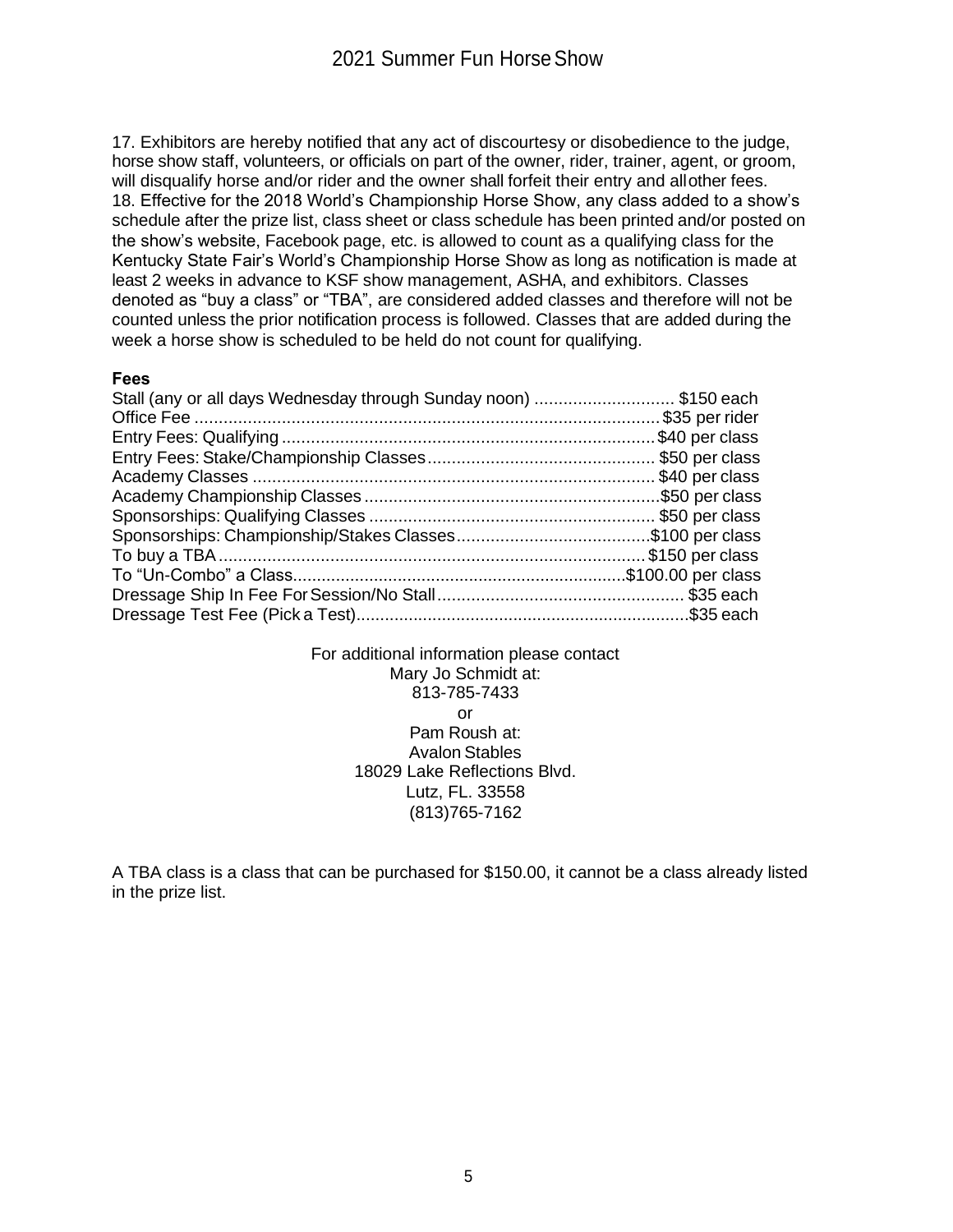17. Exhibitors are hereby notified that any act of discourtesy or disobedience to the judge, horse show staff, volunteers, or officials on part of the owner, rider, trainer, agent, or groom, will disqualify horse and/or rider and the owner shall forfeit their entry and allother fees. 18. Effective for the 2018 World's Championship Horse Show, any class added to a show's schedule after the prize list, class sheet or class schedule has been printed and/or posted on the show's website, Facebook page, etc. is allowed to count as a qualifying class for the Kentucky State Fair's World's Championship Horse Show as long as notification is made at least 2 weeks in advance to KSF show management, ASHA, and exhibitors. Classes denoted as "buy a class" or "TBA", are considered added classes and therefore will not be counted unless the prior notification process is followed. Classes that are added during the week a horse show is scheduled to be held do not count for qualifying.

#### **Fees**

| Stall (any or all days Wednesday through Sunday noon) \$150 each |  |
|------------------------------------------------------------------|--|
|                                                                  |  |
|                                                                  |  |
|                                                                  |  |
|                                                                  |  |
|                                                                  |  |
|                                                                  |  |
|                                                                  |  |
|                                                                  |  |
|                                                                  |  |
|                                                                  |  |
|                                                                  |  |
|                                                                  |  |

For additional information please contact Mary Jo Schmidt at: 813-785-7433 or Pam Roush at: Avalon Stables 18029 Lake Reflections Blvd. Lutz, FL. 33558 (813)765-7162

A TBA class is a class that can be purchased for \$150.00, it cannot be a class already listed in the prize list.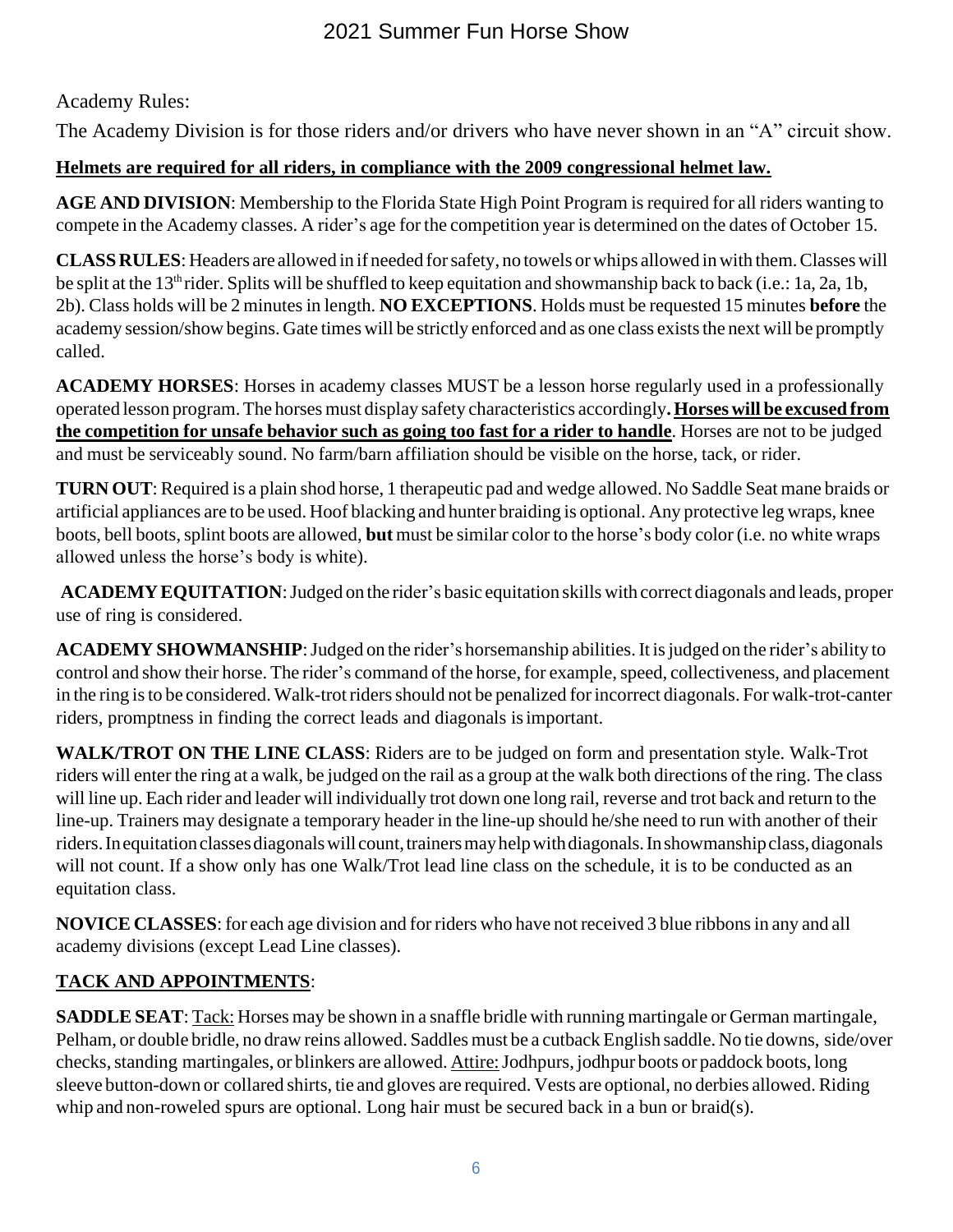Academy Rules:

The Academy Division is for those riders and/or drivers who have never shown in an "A" circuit show.

# **Helmets are required for all riders, in compliance with the 2009 congressional helmet law.**

**AGE** AND DIVISION: Membership to the Florida State High Point Program is required for all riders wanting to compete in the Academy classes. A rider's age forthe competition year is determined on the dates of October 15.

**CLASSRULES**:Headers are allowed in if needed forsafety, no towels or whips allowed inwith them.Classeswill be split at the 13<sup>th</sup> rider. Splits will be shuffled to keep equitation and showmanship back to back (i.e.: 1a, 2a, 1b, 2b). Class holds will be 2 minutesin length. **NO EXCEPTIONS**. Holds must be requested 15 minutes **before** the academy session/show begins. Gate times will be strictly enforced and as one class exists the next will be promptly called.

**ACADEMY HORSES**: Horses in academy classes MUST be a lesson horse regularly used in a professionally operated lesson program. The horsesmust display safety characteristics accordingly**.Horses will be excused from the competition for unsafe behavior such as going too fast for a rider to handle**. Horses are not to be judged and must be serviceably sound. No farm/barn affiliation should be visible on the horse, tack, or rider.

**TURN OUT**: Required is a plain shod horse, 1 therapeutic pad and wedge allowed. No Saddle Seat mane braids or artificial appliances are to be used. Hoof blacking and hunter braiding is optional. Any protective leg wraps, knee boots, bell boots,splint boots are allowed, **but** must be similar color to the horse's body color (i.e. no white wraps allowed unless the horse's body is white).

**ACADEMYEQUITATION**:Judged on the rider's basic equitation skills with correct diagonals and leads, proper use of ring is considered.

**ACADEMY SHOWMANSHIP**:Judged on the rider's horsemanship abilities.It isjudged on the rider's ability to control and show their horse. The rider's command of the horse, for example, speed, collectiveness, and placement in the ring is to be considered. Walk-trot riders should not be penalized for incorrect diagonals. For walk-trot-canter riders, promptness in finding the correct leads and diagonals isimportant.

**WALK/TROT ON THE LINE CLASS**: Riders are to be judged on form and presentation style. Walk-Trot riders will enter the ring at a walk, be judged on the rail as a group at the walk both directions of the ring. The class will line up. Each rider and leader will individually trot down one long rail, reverse and trot back and return to the line-up. Trainers may designate a temporary header in the line-up should he/she need to run with another of their riders. In equitation classes diagonals will count, trainers may help with diagonals. In showmanship class, diagonals will not count. If a show only has one Walk/Trot lead line class on the schedule, it is to be conducted as an equitation class.

**NOVICE CLASSES**: for each age division and for riders who have not received 3 blue ribbons in any and all academy divisions (except Lead Line classes).

# **TACK AND APPOINTMENTS**:

**SADDLE SEAT**: Tack: Horses may be shown in a snaffle bridle with running martingale or German martingale, Pelham, or double bridle, no draw reins allowed. Saddles must be a cutback English saddle. No tie downs, side/over checks, standing martingales, or blinkers are allowed. Attire: Jodhpurs, jodhpur boots or paddock boots, long sleeve button-down or collared shirts, tie and gloves are required. Vests are optional, no derbies allowed. Riding whip and non-roweled spurs are optional. Long hair must be secured back in a bun or braid(s).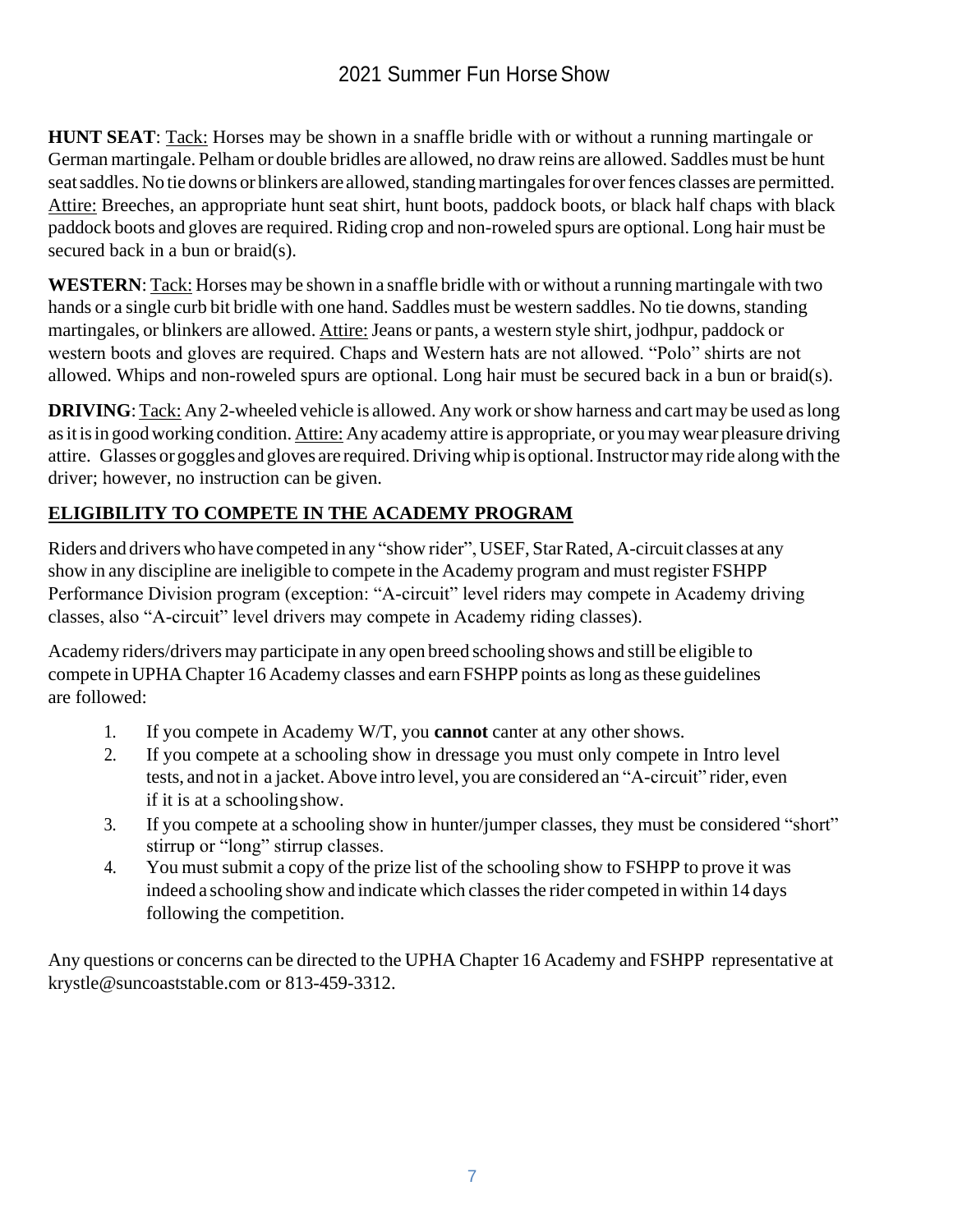**HUNT SEAT**: Tack: Horses may be shown in a snaffle bridle with or without a running martingale or German martingale. Pelham or double bridles are allowed, no draw reins are allowed. Saddles must be hunt seat saddles. No tie downs or blinkers are allowed, standing martingales for over fences classes are permitted. Attire: Breeches, an appropriate hunt seat shirt, hunt boots, paddock boots, or black half chaps with black paddock boots and gloves are required. Riding crop and non-roweled spurs are optional. Long hair must be secured back in a bun or braid(s).

**WESTERN**: Tack: Horses may be shown in a snaffle bridle with or without a running martingale with two hands or a single curb bit bridle with one hand. Saddles must be western saddles. No tie downs, standing martingales, or blinkers are allowed. Attire: Jeans or pants, a western style shirt, jodhpur, paddock or western boots and gloves are required. Chaps and Western hats are not allowed. "Polo" shirts are not allowed. Whips and non-roweled spurs are optional. Long hair must be secured back in a bun or braid(s).

**DRIVING**: Tack: Any 2-wheeled vehicle is allowed. Any work or show harness and cart may be used as long as it is in good working condition. Attire: Any academy attire is appropriate, or you may wear pleasure driving attire. Glasses or goggles and gloves are required.Drivingwhip is optional.Instructormay ride alongwith the driver; however, no instruction can be given.

# **ELIGIBILITY TO COMPETE IN THE ACADEMY PROGRAM**

Riders and drivers who have competed in any "show rider", USEF, StarRated, A-circuit classes at any show in any discipline are ineligible to compete in the Academy program and must register FSHPP Performance Division program (exception: "A-circuit" level riders may compete in Academy driving classes, also "A-circuit" level drivers may compete in Academy riding classes).

Academy riders/drivers may participate in any open breed schooling shows and still be eligible to compete in UPHA Chapter 16 Academy classes and earn FSHPP points aslong asthese guidelines are followed:

- 1. If you compete in Academy W/T, you **cannot** canter at any other shows.
- 2. If you compete at a schooling show in dressage you must only compete in Intro level tests, and not in a jacket. Above intro level, you are considered an "A-circuit" rider, even if it is at a schoolingshow.
- 3. If you compete at a schooling show in hunter/jumper classes, they must be considered "short" stirrup or "long" stirrup classes.
- 4. You must submit a copy of the prize list of the schooling show to FSHPP to prove it was indeed a schooling show and indicate which classes the rider competed in within 14 days following the competition.

Any questions or concerns can be directed to the UPHA Chapter 16 Academy and FSHPP representative at [krystle@suncoaststable.com o](mailto:krystle@suncoaststable.com)r 813-459-3312.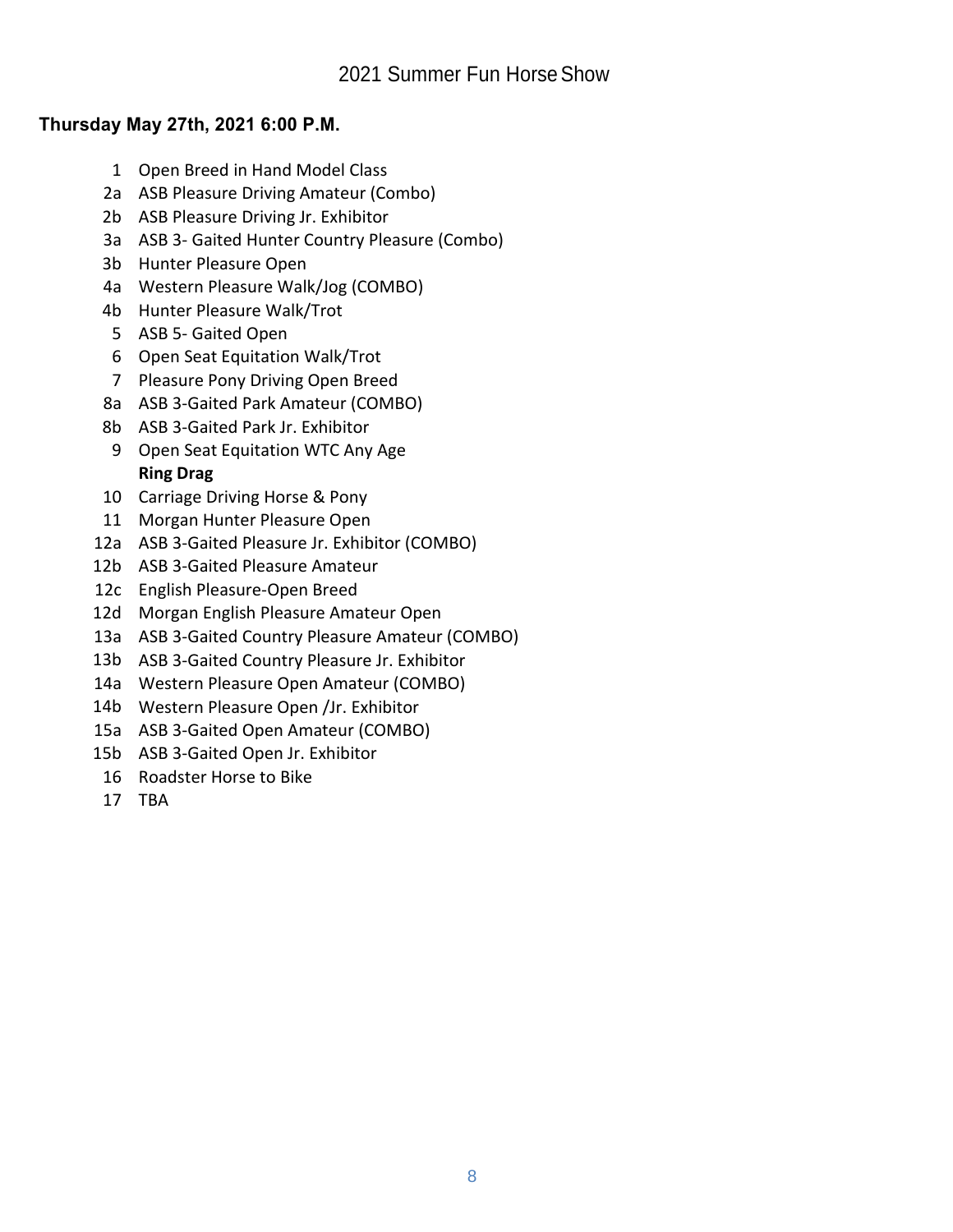## **Thursday May 27th, 2021 6:00 P.M.**

- 1 Open Breed in Hand Model Class
- 2a ASB Pleasure Driving Amateur (Combo)
- 2b ASB Pleasure Driving Jr. Exhibitor
- 3a ASB 3- Gaited Hunter Country Pleasure (Combo)
- 3b Hunter Pleasure Open
- 4a Western Pleasure Walk/Jog (COMBO)
- 4b Hunter Pleasure Walk/Trot
- 5 ASB 5- Gaited Open
- 6 Open Seat Equitation Walk/Trot
- 7 Pleasure Pony Driving Open Breed
- 8a ASB 3-Gaited Park Amateur (COMBO)
- 8b ASB 3-Gaited Park Jr. Exhibitor
- 9 Open Seat Equitation WTC Any Age **Ring Drag**
- 10 Carriage Driving Horse & Pony
- 11 Morgan Hunter Pleasure Open
- 12a ASB 3-Gaited Pleasure Jr. Exhibitor (COMBO)
- 12b ASB 3-Gaited Pleasure Amateur
- 12c English Pleasure-Open Breed
- 12d Morgan English Pleasure Amateur Open
- 13a ASB 3-Gaited Country Pleasure Amateur (COMBO)
- 13b ASB 3-Gaited Country Pleasure Jr. Exhibitor
- 14a Western Pleasure Open Amateur (COMBO)
- 14b Western Pleasure Open /Jr. Exhibitor
- 15a ASB 3-Gaited Open Amateur (COMBO)
- 15b ASB 3-Gaited Open Jr. Exhibitor
- 16 Roadster Horse to Bike
- 17 TBA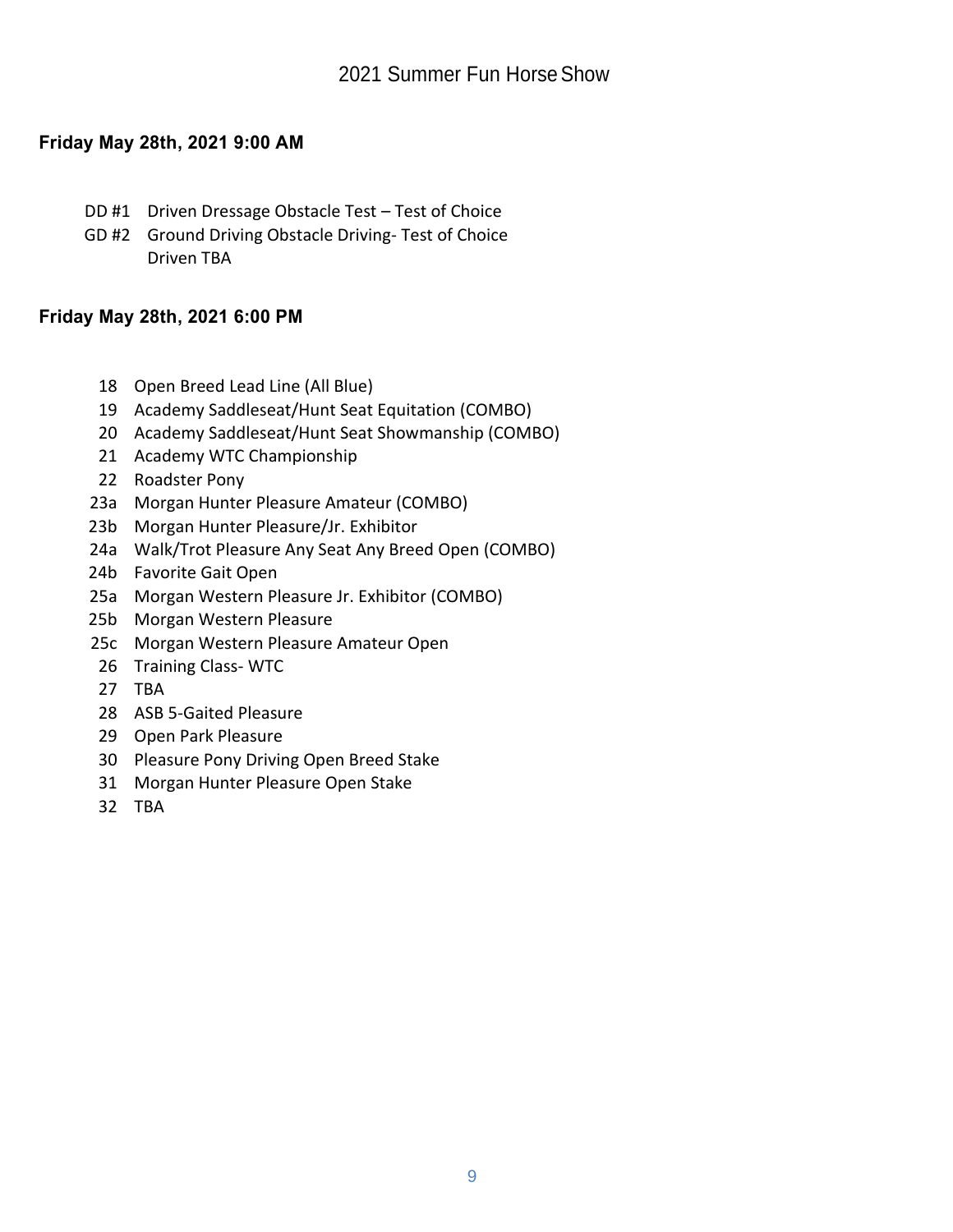## **Friday May 28th, 2021 9:00 AM**

- DD #1 Driven Dressage Obstacle Test Test of Choice
- GD #2 Ground Driving Obstacle Driving- Test of Choice Driven TBA

## **Friday May 28th, 2021 6:00 PM**

- 18 Open Breed Lead Line (All Blue)
- 19 Academy Saddleseat/Hunt Seat Equitation (COMBO)
- 20 Academy Saddleseat/Hunt Seat Showmanship (COMBO)
- 21 Academy WTC Championship
- 22 Roadster Pony
- 23a Morgan Hunter Pleasure Amateur (COMBO)
- 23b Morgan Hunter Pleasure/Jr. Exhibitor
- 24a Walk/Trot Pleasure Any Seat Any Breed Open (COMBO)
- 24b Favorite Gait Open
- 25a Morgan Western Pleasure Jr. Exhibitor (COMBO)
- 25b Morgan Western Pleasure
- 25c Morgan Western Pleasure Amateur Open
- 26 Training Class- WTC
- 27 TBA
- 28 ASB 5-Gaited Pleasure
- 29 Open Park Pleasure
- 30 Pleasure Pony Driving Open Breed Stake
- 31 Morgan Hunter Pleasure Open Stake
- 32 TBA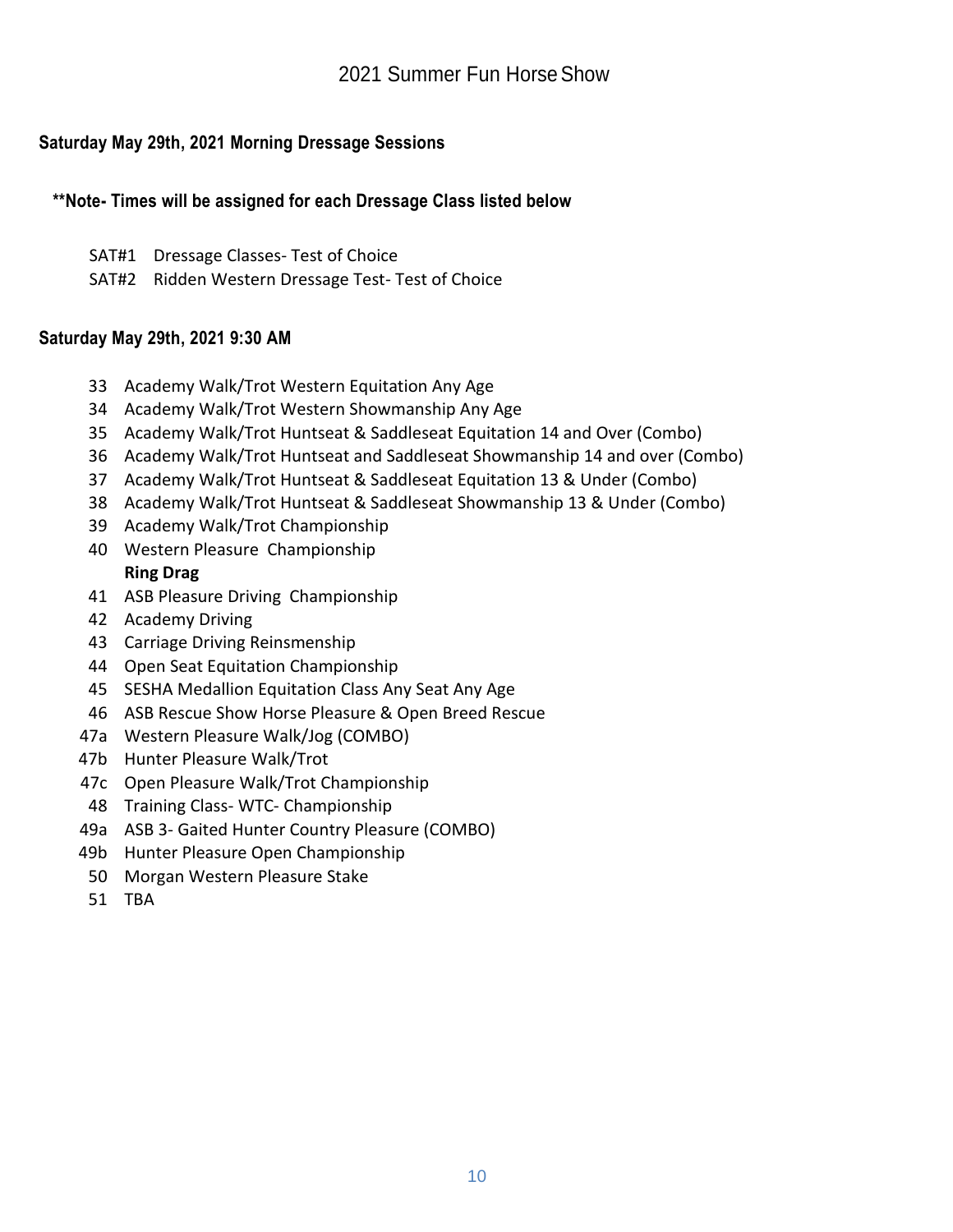## **Saturday May 29th, 2021 Morning Dressage Sessions**

#### **\*\*Note- Times will be assigned for each Dressage Class listed below**

- SAT#1 Dressage Classes- Test of Choice
- SAT#2 Ridden Western Dressage Test- Test of Choice

#### **Saturday May 29th, 2021 9:30 AM**

- 33 Academy Walk/Trot Western Equitation Any Age
- 34 Academy Walk/Trot Western Showmanship Any Age
- 35 Academy Walk/Trot Huntseat & Saddleseat Equitation 14 and Over (Combo)
- 36 Academy Walk/Trot Huntseat and Saddleseat Showmanship 14 and over (Combo)
- 37 Academy Walk/Trot Huntseat & Saddleseat Equitation 13 & Under (Combo)
- 38 Academy Walk/Trot Huntseat & Saddleseat Showmanship 13 & Under (Combo)
- 39 Academy Walk/Trot Championship
- 40 Western Pleasure Championship **Ring Drag**
- 41 ASB Pleasure Driving Championship
- 42 Academy Driving
- 43 Carriage Driving Reinsmenship
- 44 Open Seat Equitation Championship
- 45 SESHA Medallion Equitation Class Any Seat Any Age
- 46 ASB Rescue Show Horse Pleasure & Open Breed Rescue
- 47a Western Pleasure Walk/Jog (COMBO)
- 47b Hunter Pleasure Walk/Trot
- 47c Open Pleasure Walk/Trot Championship
- 48 Training Class- WTC- Championship
- 49a ASB 3- Gaited Hunter Country Pleasure (COMBO)
- 49b Hunter Pleasure Open Championship
- 50 Morgan Western Pleasure Stake
- 51 TBA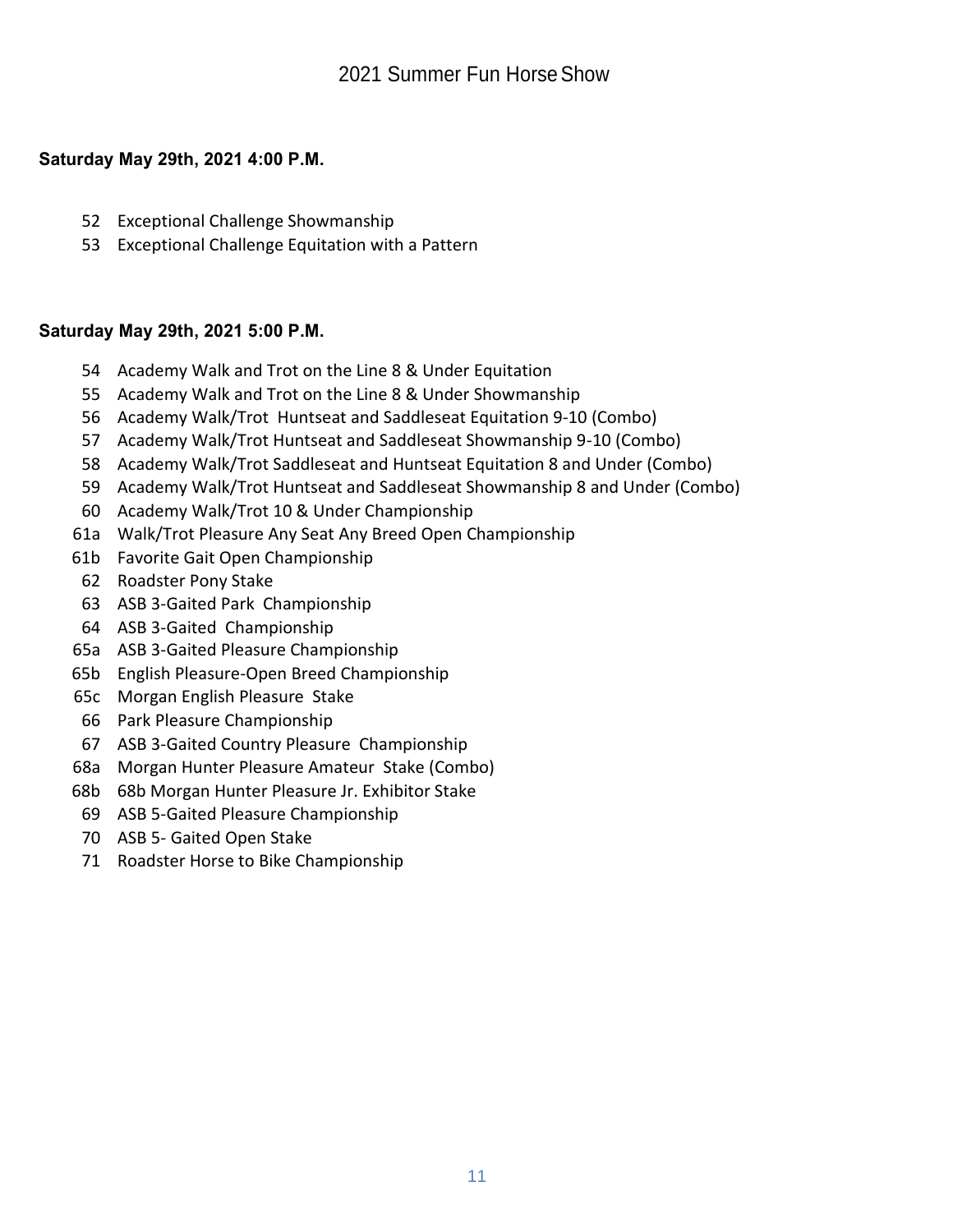## **Saturday May 29th, 2021 4:00 P.M.**

- Exceptional Challenge Showmanship
- Exceptional Challenge Equitation with a Pattern

## **Saturday May 29th, 2021 5:00 P.M.**

- Academy Walk and Trot on the Line 8 & Under Equitation
- Academy Walk and Trot on the Line 8 & Under Showmanship
- Academy Walk/Trot Huntseat and Saddleseat Equitation 9-10 (Combo)
- Academy Walk/Trot Huntseat and Saddleseat Showmanship 9-10 (Combo)
- Academy Walk/Trot Saddleseat and Huntseat Equitation 8 and Under (Combo)
- Academy Walk/Trot Huntseat and Saddleseat Showmanship 8 and Under (Combo)
- Academy Walk/Trot 10 & Under Championship
- 61a Walk/Trot Pleasure Any Seat Any Breed Open Championship
- 61b Favorite Gait Open Championship
- Roadster Pony Stake
- ASB 3-Gaited Park Championship
- ASB 3-Gaited Championship
- 65a ASB 3-Gaited Pleasure Championship
- 65b English Pleasure-Open Breed Championship
- 65c Morgan English Pleasure Stake
- Park Pleasure Championship
- ASB 3-Gaited Country Pleasure Championship
- 68a Morgan Hunter Pleasure Amateur Stake (Combo)
- 68b 68b Morgan Hunter Pleasure Jr. Exhibitor Stake
- ASB 5-Gaited Pleasure Championship
- ASB 5- Gaited Open Stake
- Roadster Horse to Bike Championship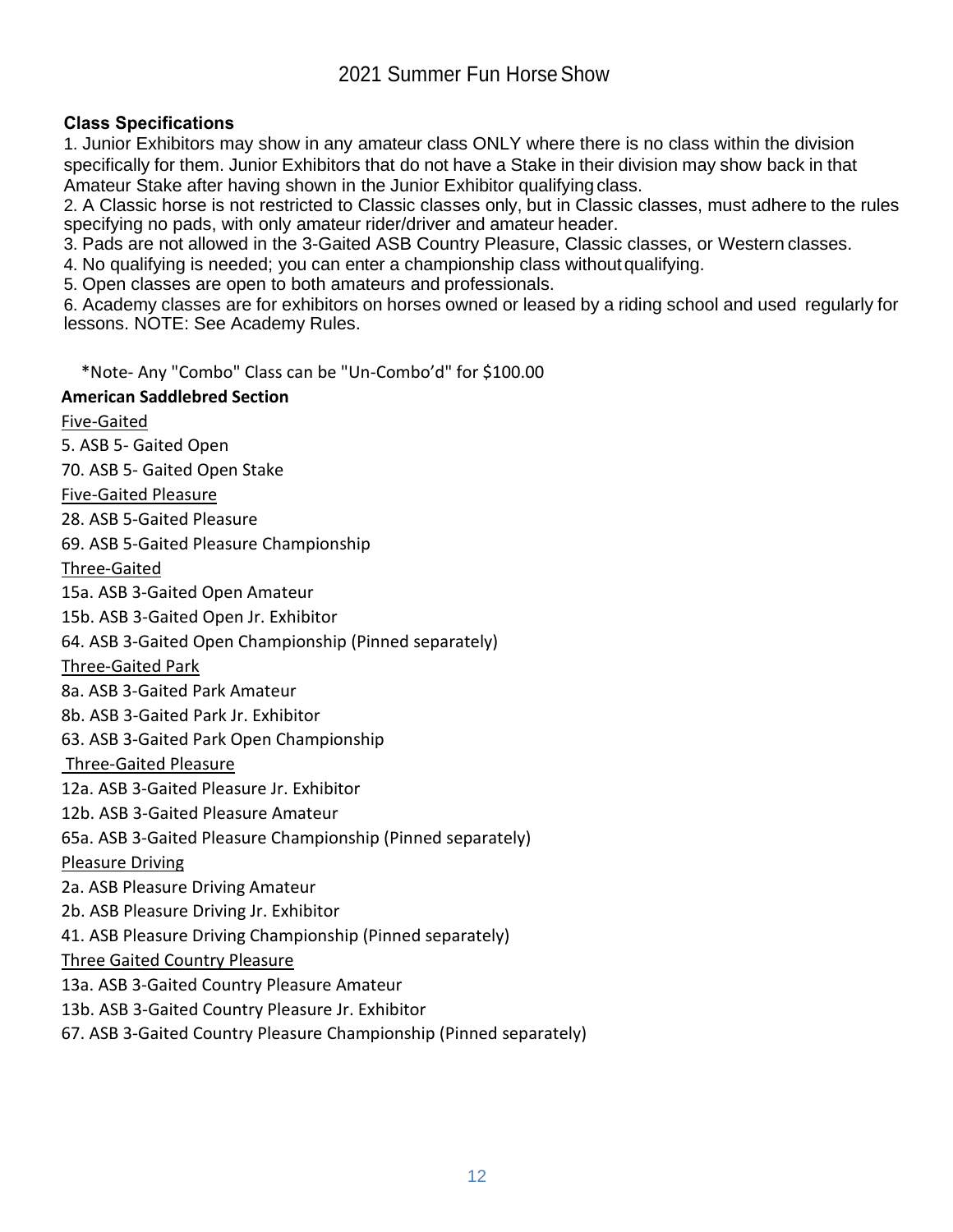## **Class Specifications**

1. Junior Exhibitors may show in any amateur class ONLY where there is no class within the division specifically for them. Junior Exhibitors that do not have a Stake in their division may show back in that Amateur Stake after having shown in the Junior Exhibitor qualifying class.

2. A Classic horse is not restricted to Classic classes only, but in Classic classes, must adhere to the rules specifying no pads, with only amateur rider/driver and amateur header.

3. Pads are not allowed in the 3-Gaited ASB Country Pleasure, Classic classes, or Western classes.

4. No qualifying is needed; you can enter a championship class without qualifying.

5. Open classes are open to both amateurs and professionals.

6. Academy classes are for exhibitors on horses owned or leased by a riding school and used regularly for lessons. NOTE: See Academy Rules.

\*Note- Any "Combo" Class can be "Un-Combo'd" for \$100.00

#### **American Saddlebred Section**

#### Five-Gaited

5. ASB 5- Gaited Open

70. ASB 5- Gaited Open Stake

Five-Gaited Pleasure

28. ASB 5-Gaited Pleasure

69. ASB 5-Gaited Pleasure Championship

Three-Gaited

15a. ASB 3-Gaited Open Amateur

15b. ASB 3-Gaited Open Jr. Exhibitor

64. ASB 3-Gaited Open Championship (Pinned separately)

#### Three-Gaited Park

8a. ASB 3-Gaited Park Amateur

8b. ASB 3-Gaited Park Jr. Exhibitor

63. ASB 3-Gaited Park Open Championship

#### Three-Gaited Pleasure

12a. ASB 3-Gaited Pleasure Jr. Exhibitor

12b. ASB 3-Gaited Pleasure Amateur

65a. ASB 3-Gaited Pleasure Championship (Pinned separately)

#### Pleasure Driving

2a. ASB Pleasure Driving Amateur

2b. ASB Pleasure Driving Jr. Exhibitor

41. ASB Pleasure Driving Championship (Pinned separately)

#### Three Gaited Country Pleasure

13a. ASB 3-Gaited Country Pleasure Amateur

13b. ASB 3-Gaited Country Pleasure Jr. Exhibitor

67. ASB 3-Gaited Country Pleasure Championship (Pinned separately)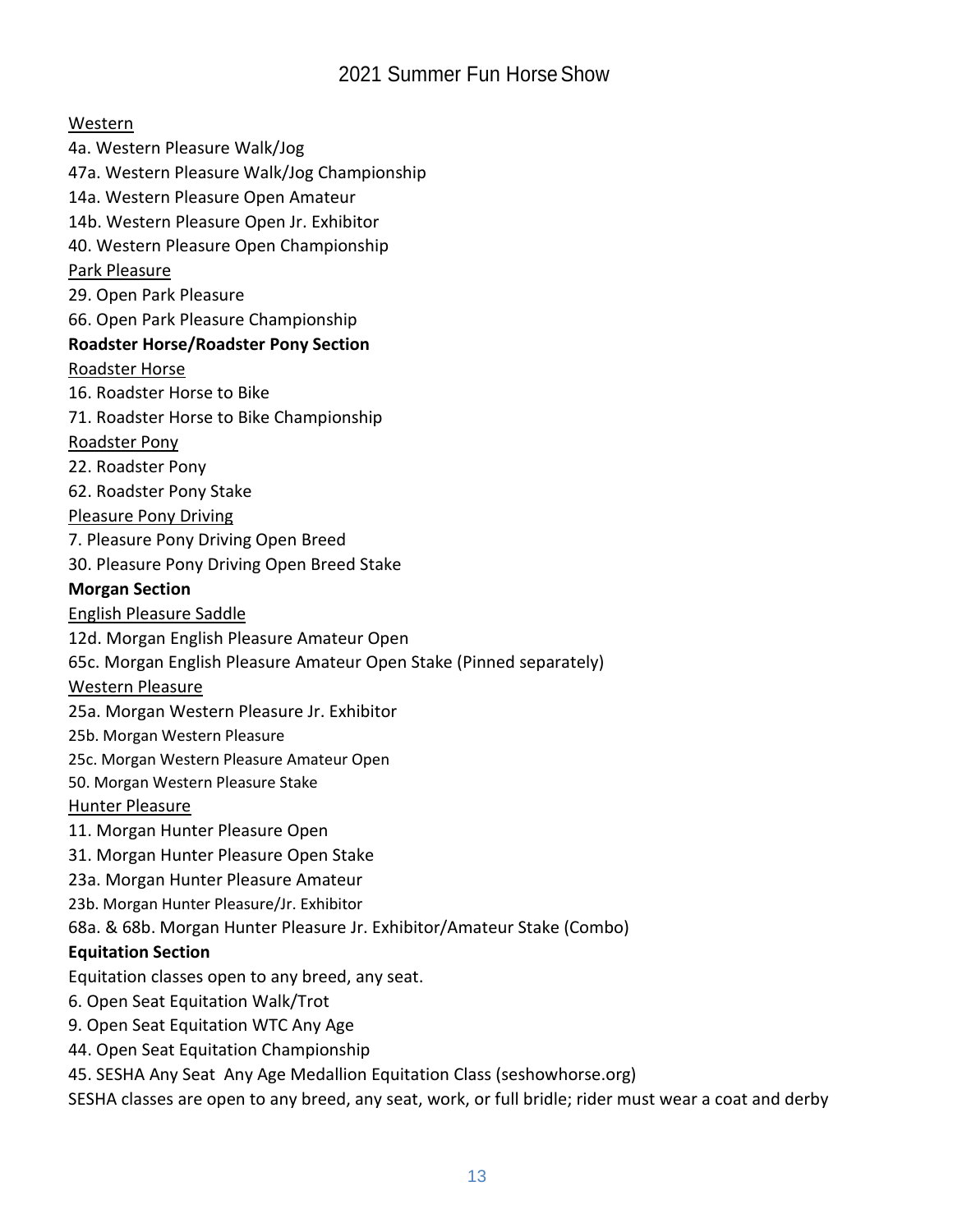Western 4a. Western Pleasure Walk/Jog 47a. Western Pleasure Walk/Jog Championship 14a. Western Pleasure Open Amateur 14b. Western Pleasure Open Jr. Exhibitor 40. Western Pleasure Open Championship Park Pleasure 29. Open Park Pleasure 66. Open Park Pleasure Championship **Roadster Horse/Roadster Pony Section** Roadster Horse 16. Roadster Horse to Bike 71. Roadster Horse to Bike Championship Roadster Pony 22. Roadster Pony 62. Roadster Pony Stake Pleasure Pony Driving 7. Pleasure Pony Driving Open Breed 30. Pleasure Pony Driving Open Breed Stake **Morgan Section** English Pleasure Saddle 12d. Morgan English Pleasure Amateur Open 65c. Morgan English Pleasure Amateur Open Stake (Pinned separately) Western Pleasure 25a. Morgan Western Pleasure Jr. Exhibitor 25b. Morgan Western Pleasure 25c. Morgan Western Pleasure Amateur Open 50. Morgan Western Pleasure Stake Hunter Pleasure 11. Morgan Hunter Pleasure Open 31. Morgan Hunter Pleasure Open Stake 23a. Morgan Hunter Pleasure Amateur 23b. Morgan Hunter Pleasure/Jr. Exhibitor 68a. & 68b. Morgan Hunter Pleasure Jr. Exhibitor/Amateur Stake (Combo) **Equitation Section** Equitation classes open to any breed, any seat. 6. Open Seat Equitation Walk/Trot 9. Open Seat Equitation WTC Any Age 44. Open Seat Equitation Championship 45. SESHA Any Seat Any Age Medallion Equitation Class (seshowhorse.org)

SESHA classes are open to any breed, any seat, work, or full bridle; rider must wear a coat and derby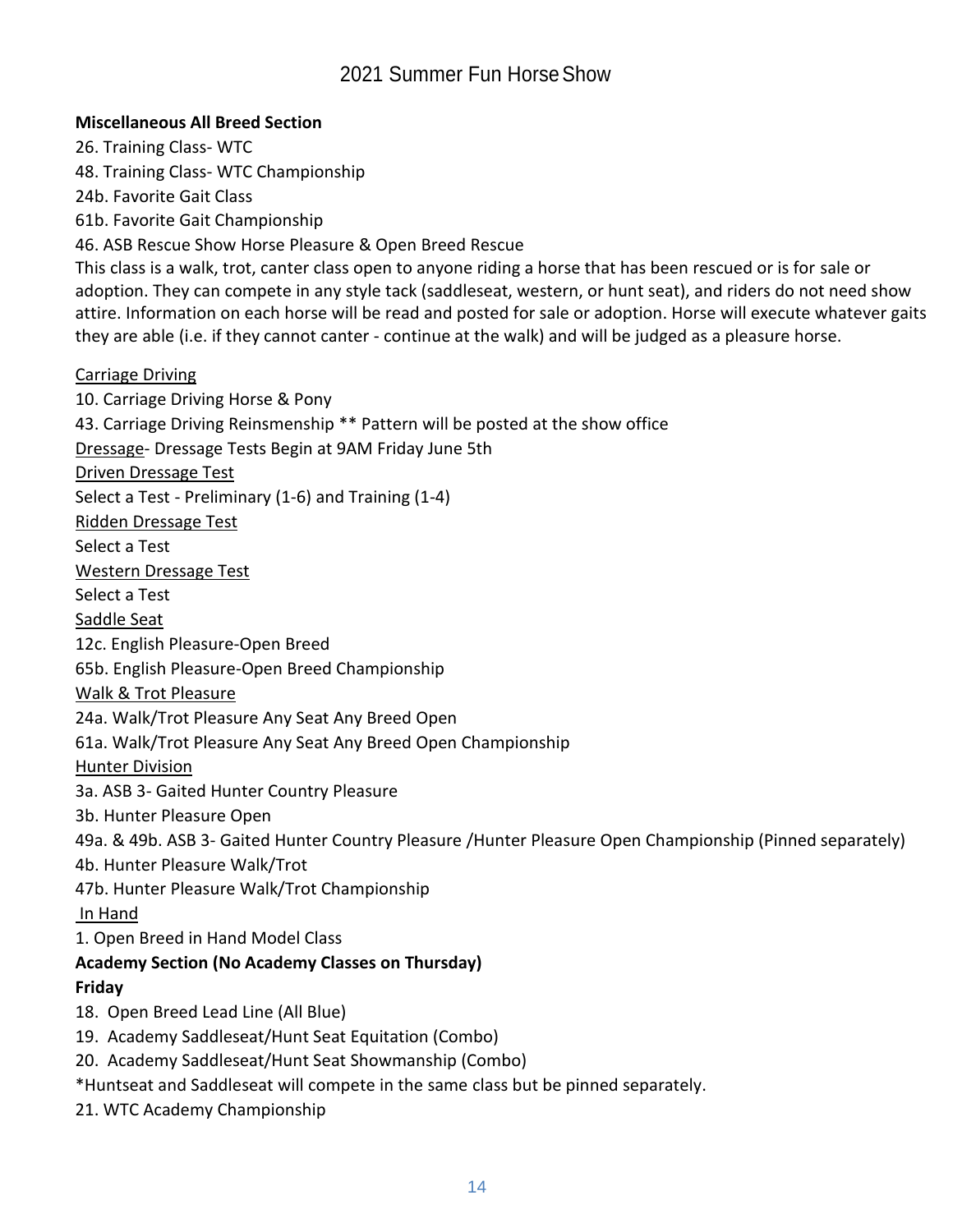## **Miscellaneous All Breed Section**

26. Training Class- WTC 48. Training Class- WTC Championship 24b. Favorite Gait Class 61b. Favorite Gait Championship 46. ASB Rescue Show Horse Pleasure & Open Breed Rescue This class is a walk, trot, canter class open to anyone riding a horse that has been rescued or is for sale or adoption. They can compete in any style tack (saddleseat, western, or hunt seat), and riders do not need show attire. Information on each horse will be read and posted for sale or adoption. Horse will execute whatever gaits they are able (i.e. if they cannot canter - continue at the walk) and will be judged as a pleasure horse. Carriage Driving 10. Carriage Driving Horse & Pony 43. Carriage Driving Reinsmenship \*\* Pattern will be posted at the show office Dressage- Dressage Tests Begin at 9AM Friday June 5th Driven Dressage Test Select a Test - Preliminary (1-6) and Training (1-4) Ridden Dressage Test Select a Test Western Dressage Test Select a Test Saddle Seat 12c. English Pleasure-Open Breed 65b. English Pleasure-Open Breed Championship Walk & Trot Pleasure 24a. Walk/Trot Pleasure Any Seat Any Breed Open 61a. Walk/Trot Pleasure Any Seat Any Breed Open Championship Hunter Division 3a. ASB 3- Gaited Hunter Country Pleasure 3b. Hunter Pleasure Open 49a. & 49b. ASB 3- Gaited Hunter Country Pleasure /Hunter Pleasure Open Championship (Pinned separately) 4b. Hunter Pleasure Walk/Trot 47b. Hunter Pleasure Walk/Trot Championship In Hand 1. Open Breed in Hand Model Class **Academy Section (No Academy Classes on Thursday) Friday** 18. Open Breed Lead Line (All Blue) 19. Academy Saddleseat/Hunt Seat Equitation (Combo) 20. Academy Saddleseat/Hunt Seat Showmanship (Combo) \*Huntseat and Saddleseat will compete in the same class but be pinned separately. 21. WTC Academy Championship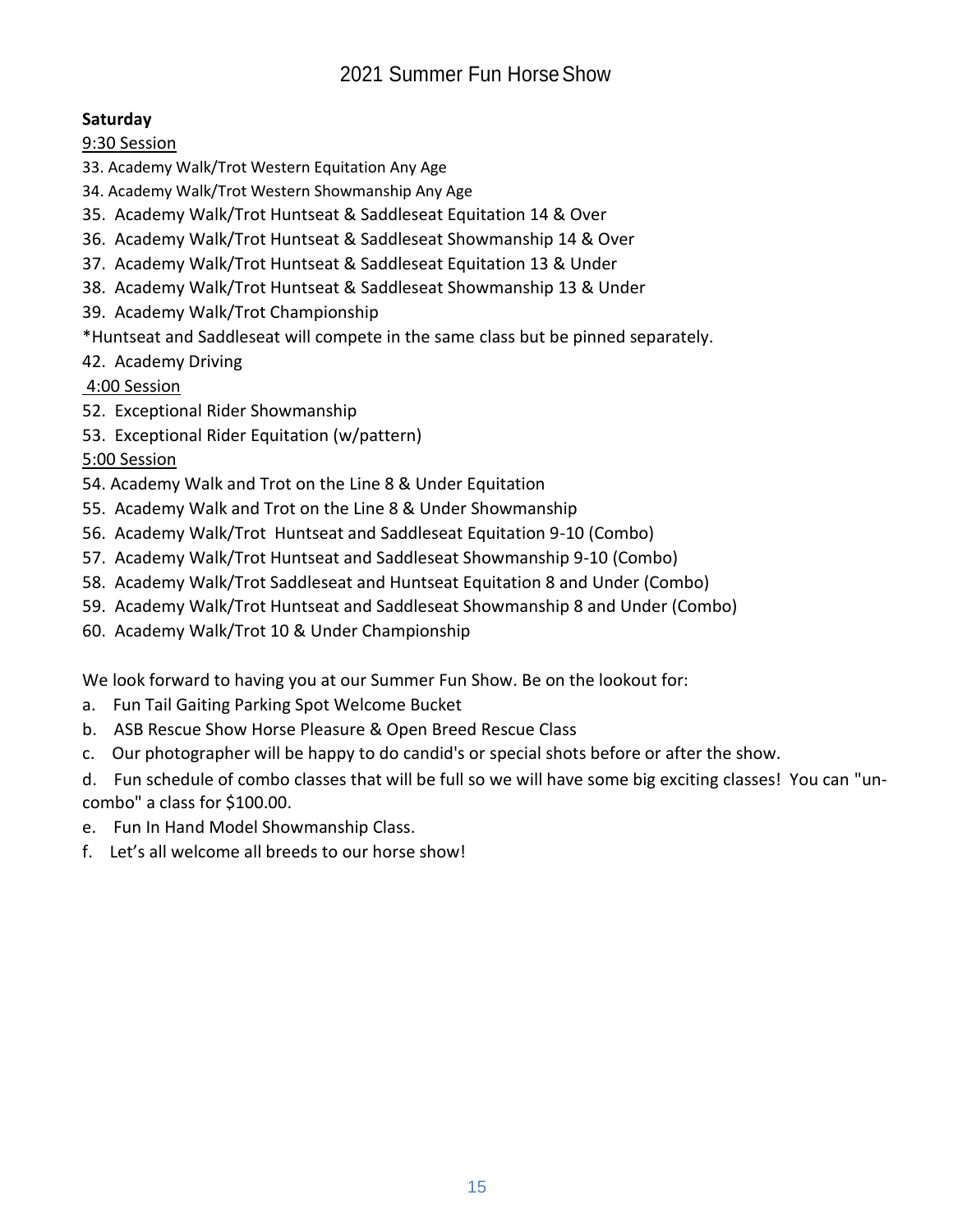## **Saturday**

9:30 Session

- 33. Academy Walk/Trot Western Equitation Any Age
- 34. Academy Walk/Trot Western Showmanship Any Age
- 35. Academy Walk/Trot Huntseat & Saddleseat Equitation 14 & Over
- 36. Academy Walk/Trot Huntseat & Saddleseat Showmanship 14 & Over
- 37. Academy Walk/Trot Huntseat & Saddleseat Equitation 13 & Under
- 38. Academy Walk/Trot Huntseat & Saddleseat Showmanship 13 & Under
- 39. Academy Walk/Trot Championship
- \*Huntseat and Saddleseat will compete in the same class but be pinned separately.
- 42. Academy Driving

## 4:00 Session

- 52. Exceptional Rider Showmanship
- 53. Exceptional Rider Equitation (w/pattern)

# 5:00 Session

- 54. Academy Walk and Trot on the Line 8 & Under Equitation
- 55. Academy Walk and Trot on the Line 8 & Under Showmanship
- 56. Academy Walk/Trot Huntseat and Saddleseat Equitation 9-10 (Combo)
- 57. Academy Walk/Trot Huntseat and Saddleseat Showmanship 9-10 (Combo)
- 58. Academy Walk/Trot Saddleseat and Huntseat Equitation 8 and Under (Combo)
- 59. Academy Walk/Trot Huntseat and Saddleseat Showmanship 8 and Under (Combo)
- 60. Academy Walk/Trot 10 & Under Championship

We look forward to having you at our Summer Fun Show. Be on the lookout for:

- a. Fun Tail Gaiting Parking Spot Welcome Bucket
- b. ASB Rescue Show Horse Pleasure & Open Breed Rescue Class
- c. Our photographer will be happy to do candid's or special shots before or after the show.
- d. Fun schedule of combo classes that will be full so we will have some big exciting classes! You can "uncombo" a class for \$100.00.
- e. Fun In Hand Model Showmanship Class.
- f. Let's all welcome all breeds to our horse show!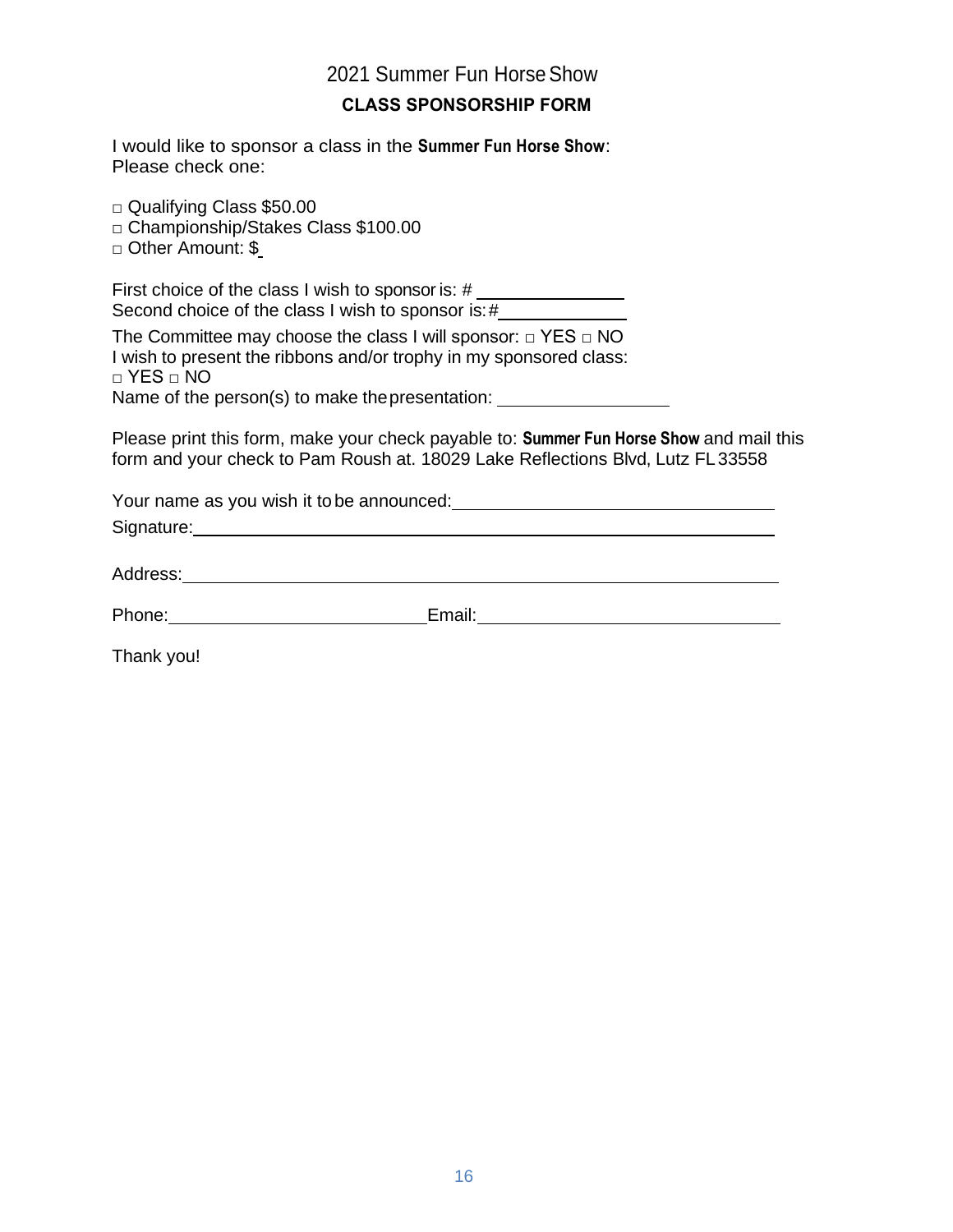## **CLASS SPONSORSHIP FORM**

I would like to sponsor a class in the **Summer Fun Horse Show**: Please check one:

□ Qualifying Class \$50.00

□ Championship/Stakes Class \$100.00

□ Other Amount: \$

First choice of the class I wish to sponsor is: # Second choice of the class I wish to sponsor is: #

The Committee may choose the class I will sponsor: □ YES □ NO I wish to present the ribbons and/or trophy in my sponsored class: □ YES □ NO

Name of the person(s) to make the presentation: \_\_\_\_\_\_\_\_\_\_\_\_\_\_\_\_\_\_\_\_\_\_\_\_\_\_\_\_\_\_\_\_

Please print this form, make your check payable to: **Summer Fun Horse Show** and mail this form and your check to Pam Roush at. 18029 Lake Reflections Blvd, Lutz FL33558

Your name as you wish it to be announced:

Signature: <u>contract and contract and contract and contract and contract and contract and contract and contract and contract and contract and contract and contract and contract and contract and contract and contract and co</u>

Address: which is a strong of the structure of the structure of the structure of the structure of the structure of the structure of the structure of the structure of the structure of the structure of the structure of the s

| Phone: | Email: |
|--------|--------|
|        |        |

Thank you!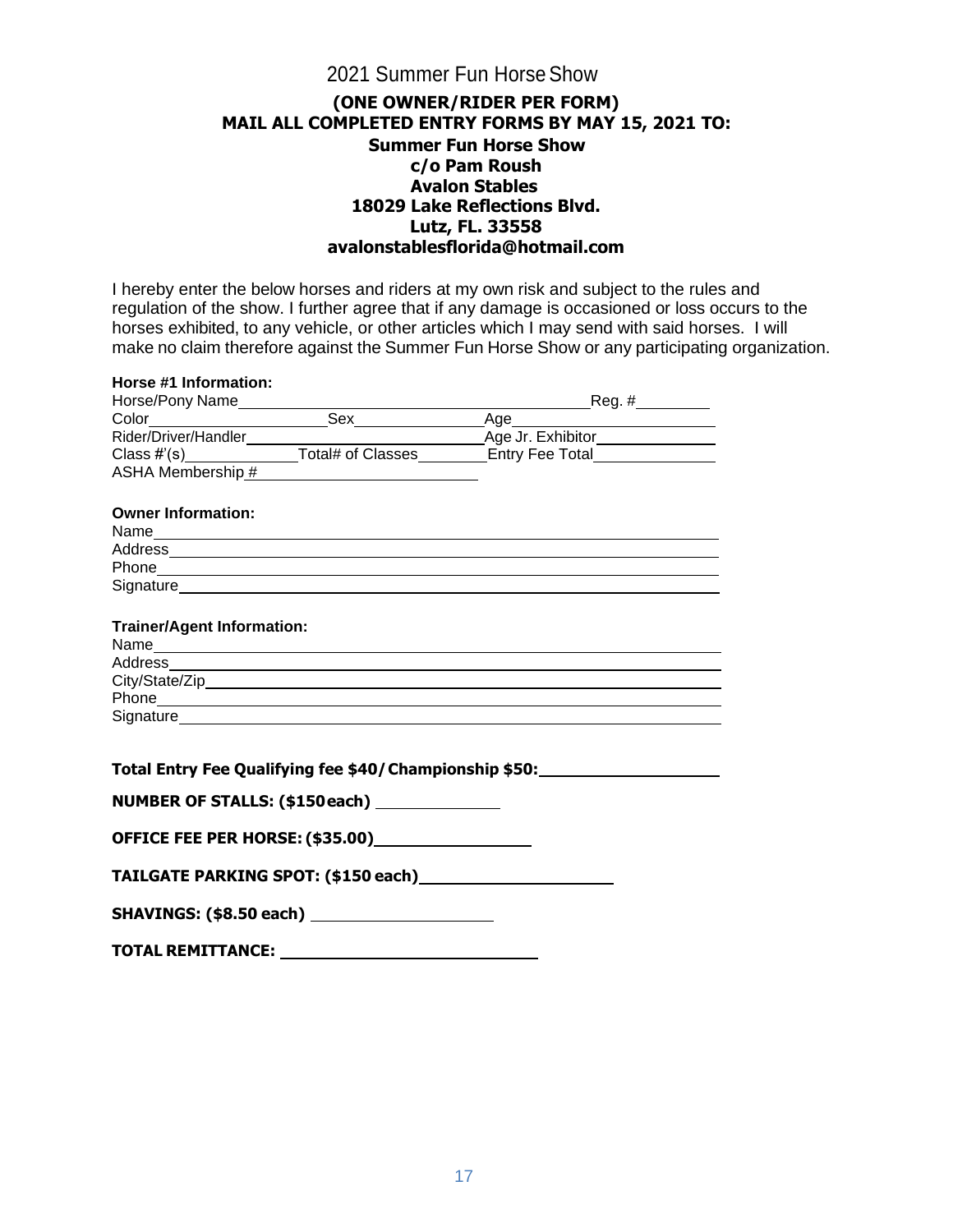#### **(ONE OWNER/RIDER PER FORM) MAIL ALL COMPLETED ENTRY FORMS BY MAY 15, 2021 TO: Summer Fun Horse Show c/o Pam Roush Avalon Stables 18029 Lake Reflections Blvd. Lutz, FL. 33558 [avalonstablesflorida@hotmail.com](mailto:avalonstablesflorida@hotmail.com)**

I hereby enter the below horses and riders at my own risk and subject to the rules and regulation of the show. I further agree that if any damage is occasioned or loss occurs to the horses exhibited, to any vehicle, or other articles which I may send with said horses. I will make no claim therefore against the Summer Fun Horse Show or any participating organization.

| Horse #1 Information:             |                                                         |                                                                                                                                                                                                                               |  |
|-----------------------------------|---------------------------------------------------------|-------------------------------------------------------------------------------------------------------------------------------------------------------------------------------------------------------------------------------|--|
|                                   |                                                         | Horse/Pony Name Color Color Color Color Color Class #'(s) Color Class = Total Mombership = Total Mombership = Total Mombership = Total Mombership = Total Mombership = Total Mombership = Total Mombership = Total Mombership |  |
|                                   |                                                         |                                                                                                                                                                                                                               |  |
|                                   |                                                         |                                                                                                                                                                                                                               |  |
|                                   |                                                         |                                                                                                                                                                                                                               |  |
|                                   |                                                         |                                                                                                                                                                                                                               |  |
| <b>Owner Information:</b>         |                                                         |                                                                                                                                                                                                                               |  |
|                                   |                                                         |                                                                                                                                                                                                                               |  |
|                                   |                                                         |                                                                                                                                                                                                                               |  |
|                                   |                                                         |                                                                                                                                                                                                                               |  |
|                                   |                                                         |                                                                                                                                                                                                                               |  |
| <b>Trainer/Agent Information:</b> |                                                         |                                                                                                                                                                                                                               |  |
|                                   |                                                         |                                                                                                                                                                                                                               |  |
|                                   |                                                         |                                                                                                                                                                                                                               |  |
|                                   |                                                         |                                                                                                                                                                                                                               |  |
|                                   |                                                         |                                                                                                                                                                                                                               |  |
|                                   |                                                         |                                                                                                                                                                                                                               |  |
|                                   | Total Entry Fee Qualifying fee \$40/ Championship \$50: |                                                                                                                                                                                                                               |  |
|                                   | NUMBER OF STALLS: (\$150each) ______________            |                                                                                                                                                                                                                               |  |
|                                   |                                                         |                                                                                                                                                                                                                               |  |
|                                   |                                                         |                                                                                                                                                                                                                               |  |
|                                   | SHAVINGS: (\$8.50 each) ________________________        |                                                                                                                                                                                                                               |  |
|                                   |                                                         |                                                                                                                                                                                                                               |  |

**TOTAL REMITTANCE:**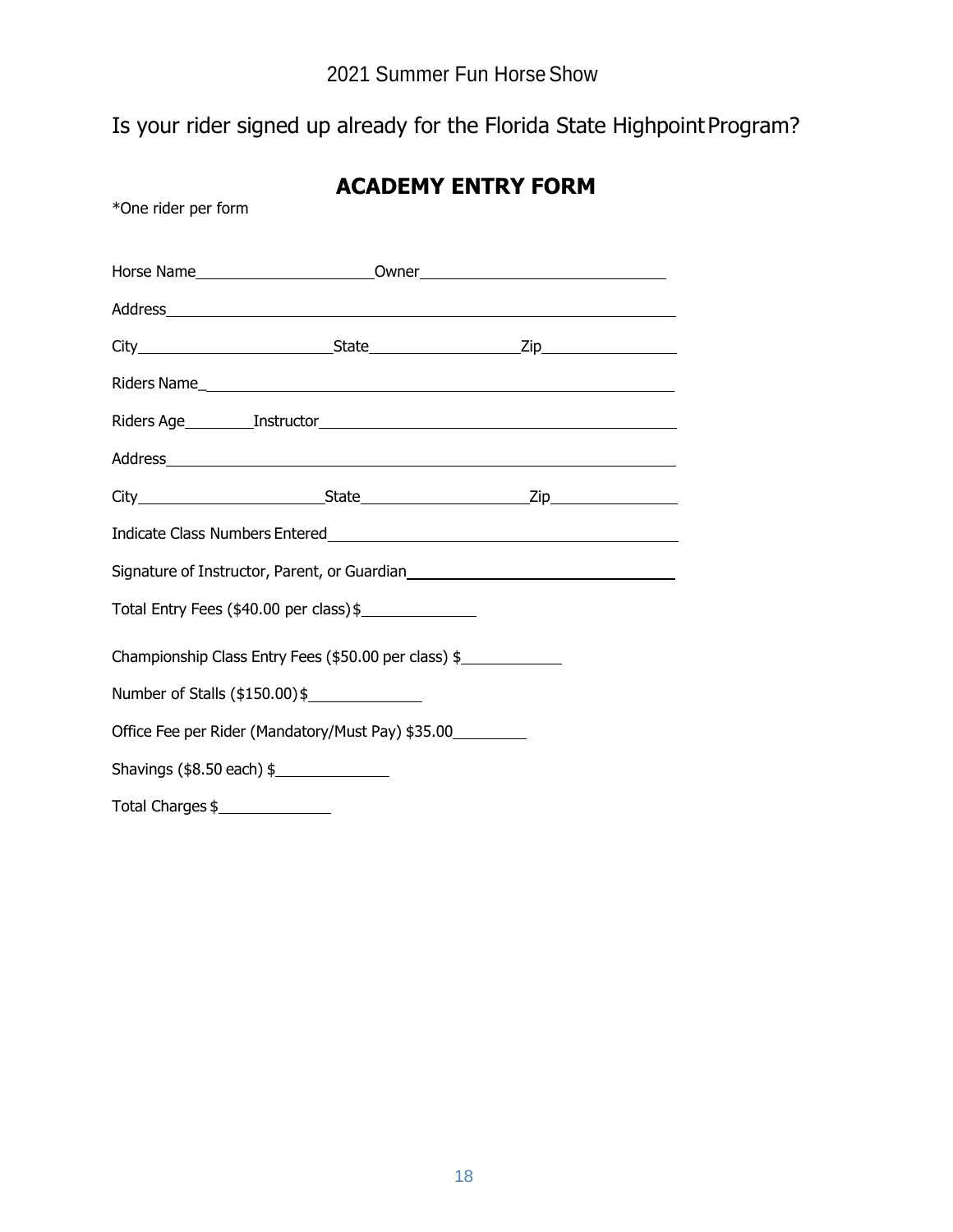# Is your rider signed up already for the Florida State Highpoint Program?

| *One rider per form                                  |                                                                                  |  |  |
|------------------------------------------------------|----------------------------------------------------------------------------------|--|--|
|                                                      | Horse Name______________________________Owner___________________________________ |  |  |
|                                                      |                                                                                  |  |  |
|                                                      |                                                                                  |  |  |
|                                                      |                                                                                  |  |  |
|                                                      |                                                                                  |  |  |
|                                                      |                                                                                  |  |  |
|                                                      |                                                                                  |  |  |
|                                                      |                                                                                  |  |  |
|                                                      |                                                                                  |  |  |
| Total Entry Fees (\$40.00 per class) \$              |                                                                                  |  |  |
| Championship Class Entry Fees (\$50.00 per class) \$ |                                                                                  |  |  |
| Number of Stalls (\$150.00)\$                        |                                                                                  |  |  |
| Office Fee per Rider (Mandatory/Must Pay) \$35.00    |                                                                                  |  |  |
| Shavings $(\$8.50$ each $)$ \$                       |                                                                                  |  |  |
|                                                      | Total Charges \$                                                                 |  |  |

# **ACADEMY ENTRY FORM**